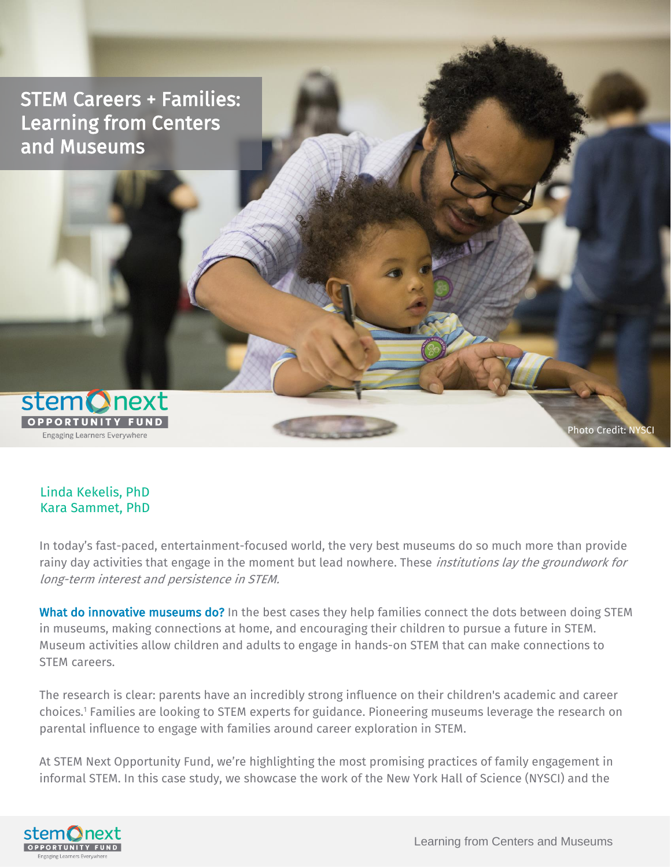STEM Careers + Families: Learning from Centers and Museums



Linda Kekelis, PhD Kara Sammet, PhD

In today's fast-paced, entertainment-focused world, the very best museums do so much more than provide rainy day activities that engage in the moment but lead nowhere. These *institutions lay the groundwork for* long-term interest and persistence in STEM.

What do innovative museums do? In the best cases they help families connect the dots between doing STEM in museums, making connections at home, and encouraging their children to pursue a future in STEM. Museum activities allow children and adults to engage in hands-on STEM that can make connections to STEM careers.

The research is clear: parents have an incredibly strong influence on their children's academic and career choices.<sup>1</sup> Families are looking to STEM experts for guidance. Pioneering museums leverage the research on parental influence to engage with families around career exploration in STEM.

At STEM Next Opportunity Fund, we're highlighting the most promising practices of family engagement in informal STEM. In this case study, we showcase the work of the New York Hall of Science (NYSCI) and the



Photo Credit: NYSCI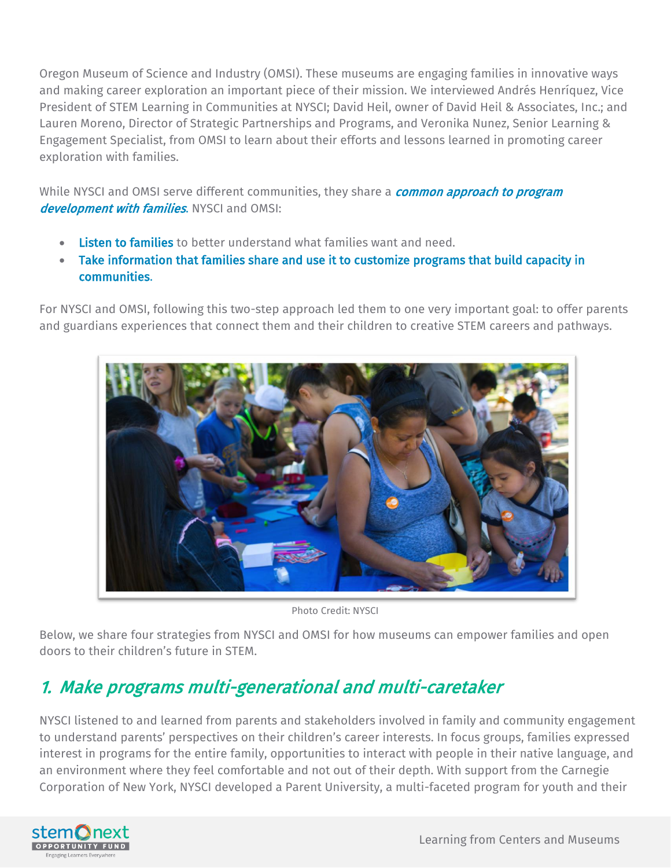Oregon Museum of Science and Industry (OMSI). These museums are engaging families in innovative ways and making career exploration an important piece of their mission. We interviewed Andrés Henríquez, Vice President of STEM Learning in Communities at NYSCI; David Heil, owner of David Heil & Associates, Inc.; and Lauren Moreno, Director of Strategic Partnerships and Programs, and Veronika Nunez, Senior Learning & Engagement Specialist, from OMSI to learn about their efforts and lessons learned in promoting career exploration with families.

While NYSCI and OMSI serve different communities, they share a **common approach to program** development with families. NYSCI and OMSI:

- Listen to families to better understand what families want and need.
- Take information that families share and use it to customize programs that build capacity in communities.

For NYSCI and OMSI, following this two-step approach led them to one very important goal: to offer parents and guardians experiences that connect them and their children to creative STEM careers and pathways.



Photo Credit: NYSCI

Below, we share four strategies from NYSCI and OMSI for how museums can empower families and open doors to their children's future in STEM.

# 1. Make programs multi-generational and multi-caretaker

NYSCI listened to and learned from parents and stakeholders involved in family and community engagement to understand parents' perspectives on their children's career interests. In focus groups, families expressed interest in programs for the entire family, opportunities to interact with people in their native language, and an environment where they feel comfortable and not out of their depth. With support from the Carnegie Corporation of New York, NYSCI developed a Parent University, a multi-faceted program for youth and their

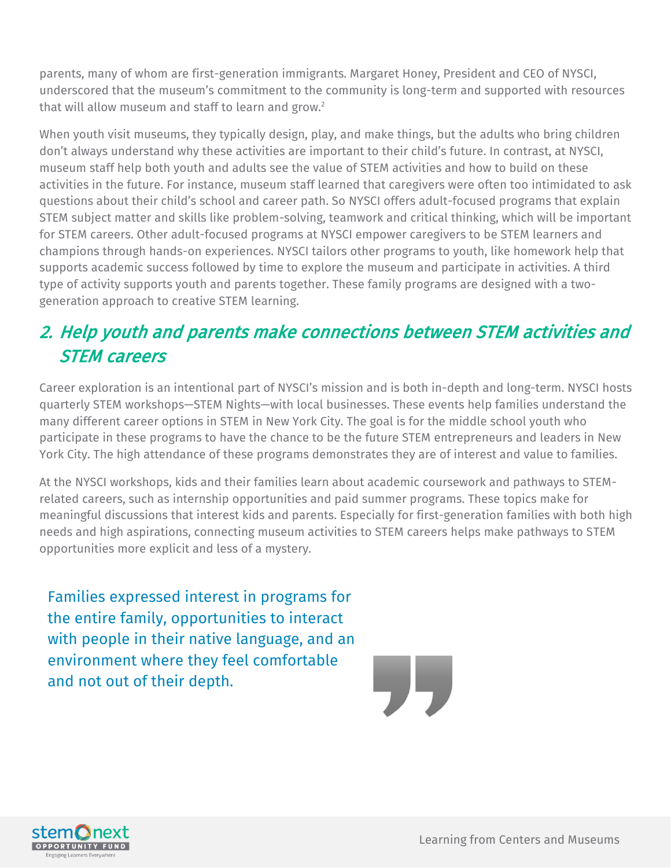parents, many of whom are first-generation immigrants. Margaret Honey, President and CEO of NYSCI, underscored that the museum's commitment to the community is long-term and supported with resources that will allow museum and staff to learn and grow.<sup>2</sup>

When youth visit museums, they typically design, play, and make things, but the adults who bring children don't always understand why these activities are important to their child's future. In contrast, at NYSCI, museum staff help both youth and adults see the value of STEM activities and how to build on these activities in the future. For instance, museum staff learned that caregivers were often too intimidated to ask questions about their child's school and career path. So NYSCI offers adult-focused programs that explain STEM subject matter and skills like problem-solving, teamwork and critical thinking, which will be important for STEM careers. Other adult-focused programs at NYSCI empower caregivers to be STEM learners and champions through hands-on experiences. NYSCI tailors other programs to youth, like homework help that supports academic success followed by time to explore the museum and participate in activities. A third type of activity supports youth and parents together. These family programs are designed with a twogeneration approach to creative STEM learning.

# 2. Help youth and parents make connections between STEM activities and STEM careers

Career exploration is an intentional part of NYSCI's mission and is both in-depth and long-term. NYSCI hosts quarterly STEM workshops—STEM Nights—with local businesses. These events help families understand the many different career options in STEM in New York City. The goal is for the middle school youth who participate in these programs to have the chance to be the future STEM entrepreneurs and leaders in New York City. The high attendance of these programs demonstrates they are of interest and value to families.

At the NYSCI workshops, kids and their families learn about academic coursework and pathways to STEMrelated careers, such as internship opportunities and paid summer programs. These topics make for meaningful discussions that interest kids and parents. Especially for first-generation families with both high needs and high aspirations, connecting museum activities to STEM careers helps make pathways to STEM opportunities more explicit and less of a mystery.

Families expressed interest in programs for the entire family, opportunities to interact with people in their native language, and an environment where they feel comfortable and not out of their depth.



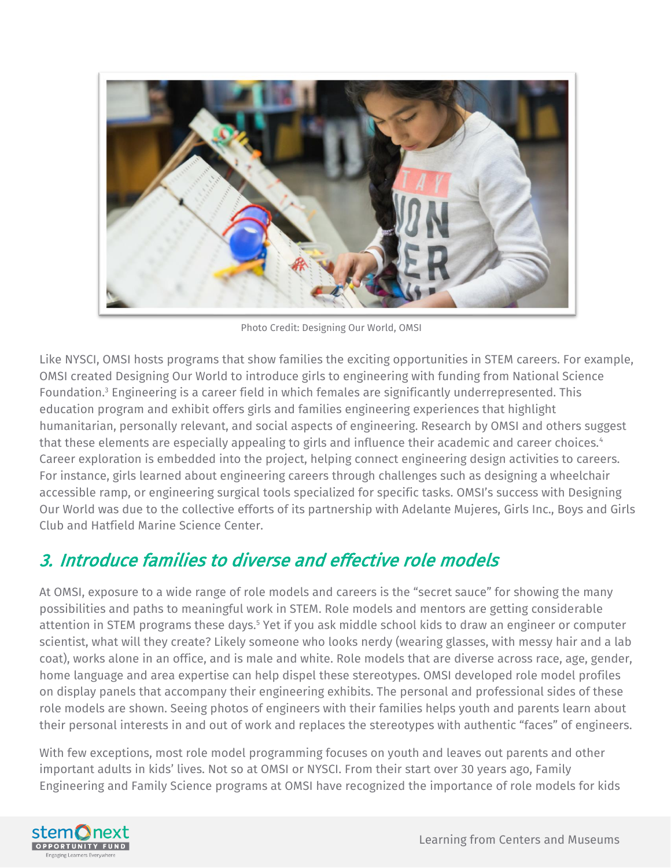

Photo Credit: Designing Our World, OMSI

Like NYSCI, OMSI hosts programs that show families the exciting opportunities in STEM careers. For example, OMSI created Designing Our World to introduce girls to engineering with funding from National Science Foundation. <sup>3</sup> Engineering is a career field in which females are significantly underrepresented. This education program and exhibit offers girls and families engineering experiences that highlight humanitarian, personally relevant, and social aspects of engineering. Research by OMSI and others suggest that these elements are especially appealing to girls and influence their academic and career choices.<sup>4</sup> Career exploration is embedded into the project, helping connect engineering design activities to careers. For instance, girls learned about engineering careers through challenges such as designing a wheelchair accessible ramp, or engineering surgical tools specialized for specific tasks. OMSI's success with Designing Our World was due to the collective efforts of its partnership with Adelante Mujeres, Girls Inc., Boys and Girls Club and Hatfield Marine Science Center.

# 3. Introduce families to diverse and effective role models

At OMSI, exposure to a wide range of role models and careers is the "secret sauce" for showing the many possibilities and paths to meaningful work in STEM. Role models and mentors are getting considerable attention in STEM programs these days. <sup>5</sup> Yet if you ask middle school kids to draw an engineer or computer scientist, what will they create? Likely someone who looks nerdy (wearing glasses, with messy hair and a lab coat), works alone in an office, and is male and white. Role models that are diverse across race, age, gender, home language and area expertise can help dispel these stereotypes. OMSI developed role model profiles on display panels that accompany their engineering exhibits. The personal and professional sides of these role models are shown. Seeing photos of engineers with their families helps youth and parents learn about their personal interests in and out of work and replaces the stereotypes with authentic "faces" of engineers.

With few exceptions, most role model programming focuses on youth and leaves out parents and other important adults in kids' lives. Not so at OMSI or NYSCI. From their start over 30 years ago, Family Engineering and Family Science programs at OMSI have recognized the importance of role models for kids

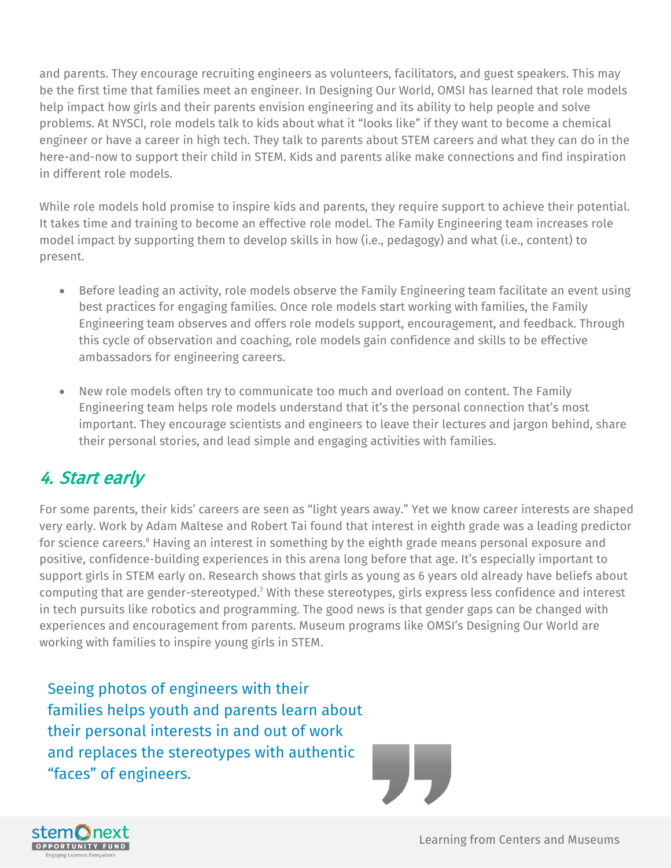and parents. They encourage recruiting engineers as volunteers, facilitators, and guest speakers. This may be the first time that families meet an engineer. In Designing Our World, OMSI has learned that role models help impact how girls and their parents envision engineering and its ability to help people and solve problems. At NYSCI, role models talk to kids about what it "looks like" if they want to become a chemical engineer or have a career in high tech. They talk to parents about STEM careers and what they can do in the here-and-now to support their child in STEM. Kids and parents alike make connections and find inspiration in different role models.

While role models hold promise to inspire kids and parents, they require support to achieve their potential. It takes time and training to become an effective role model. The Family Engineering team increases role model impact by supporting them to develop skills in how (i.e., pedagogy) and what (i.e., content) to present.

- Before leading an activity, role models observe the Family Engineering team facilitate an event using best practices for engaging families. Once role models start working with families, the Family Engineering team observes and offers role models support, encouragement, and feedback. Through this cycle of observation and coaching, role models gain confidence and skills to be effective ambassadors for engineering careers.
- New role models often try to communicate too much and overload on content. The Family Engineering team helps role models understand that it's the personal connection that's most important. They encourage scientists and engineers to leave their lectures and jargon behind, share their personal stories, and lead simple and engaging activities with families.

## 4. Start early

For some parents, their kids' careers are seen as "light years away." Yet we know career interests are shaped very early. Work by Adam Maltese and Robert Tai found that interest in eighth grade was a leading predictor for science careers.<sup>6</sup> Having an interest in something by the eighth grade means personal exposure and positive, confidence-building experiences in this arena long before that age. It's especially important to support girls in STEM early on. Research shows that girls as young as 6 years old already have beliefs about computing that are gender-stereotyped.<sup>7</sup> With these stereotypes, girls express less confidence and interest in tech pursuits like robotics and programming. The good news is that gender gaps can be changed with experiences and encouragement from parents. Museum programs like OMSI's Designing Our World are working with families to inspire young girls in STEM.

Seeing photos of engineers with their families helps youth and parents learn about their personal interests in and out of work and replaces the stereotypes with authentic "faces" of engineers.



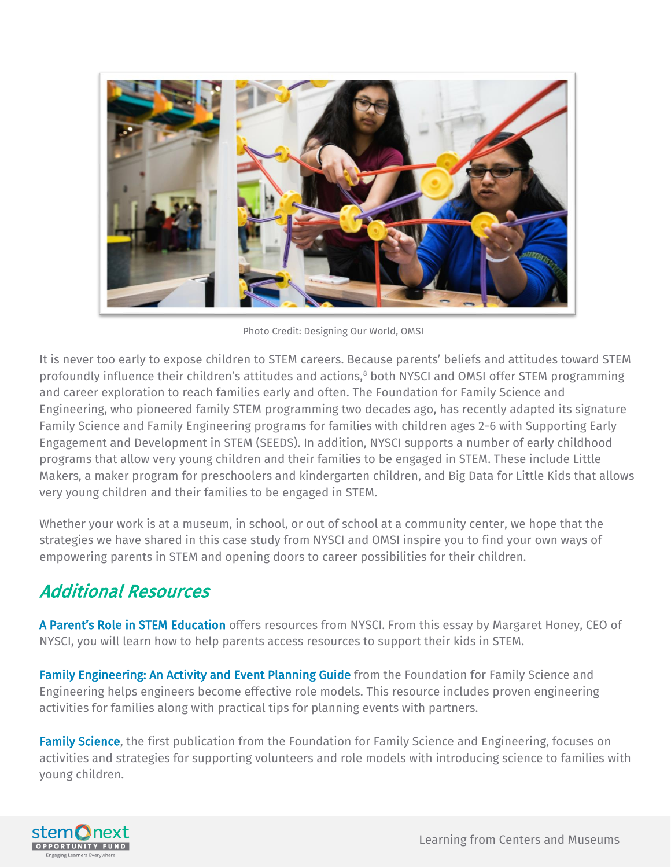

Photo Credit: Designing Our World, OMSI

It is never too early to expose children to STEM careers. Because parents' beliefs and attitudes toward STEM profoundly influence their children's attitudes and actions,<sup>8</sup> both NYSCI and OMSI offer STEM programming and career exploration to reach families early and often. The Foundation for Family Science and Engineering, who pioneered family STEM programming two decades ago, has recently adapted its signature Family Science and Family Engineering programs for families with children ages 2-6 with Supporting Early Engagement and Development in STEM (SEEDS). In addition, NYSCI supports a number of early childhood programs that allow very young children and their families to be engaged in STEM. These include Little Makers, a maker program for preschoolers and kindergarten children, and Big Data for Little Kids that allows very young children and their families to be engaged in STEM.

Whether your work is at a museum, in school, or out of school at a community center, we hope that the strategies we have shared in this case study from NYSCI and OMSI inspire you to find your own ways of empowering parents in STEM and opening doors to career possibilities for their children.

### Additional Resources

[A Parent's Role in STEM Education](https://nysci.org/parents-role-stem-education/) offers resources from NYSCI. From this essay by Margaret Honey, CEO of NYSCI, you will learn how to help parents access resources to support their kids in STEM.

[Family Engineering: An Activity and Event Planning Guide](http://familyscienceandengineering.org/) from the Foundation for Family Science and Engineering helps engineers become effective role models. This resource includes proven engineering activities for families along with practical tips for planning events with partners.

[Family Science,](http://familyscienceandengineering.org/store/) the first publication from the Foundation for Family Science and Engineering, focuses on activities and strategies for supporting volunteers and role models with introducing science to families with young children.

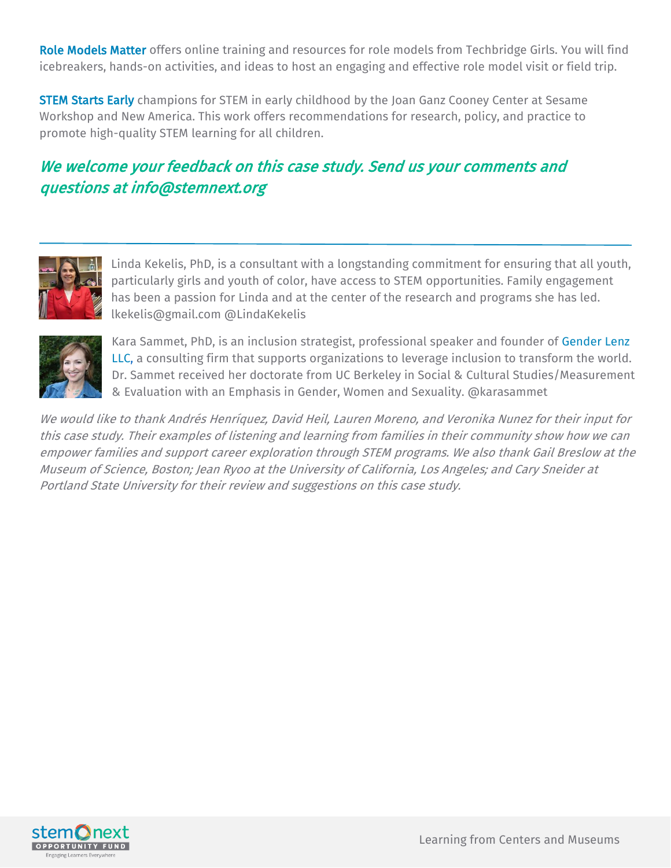[Role Models Matter](http://www.techbridgegirls.org/rolemodelsmatter/) offers online training and resources for role models from Techbridge Girls. You will find icebreakers, hands-on activities, and ideas to host an engaging and effective role model visit or field trip.

**[STEM Starts Early](http://joanganzcooneycenter.org/publication/stem-starts-early/)** champions for STEM in early childhood by the Joan Ganz Cooney Center at Sesame Workshop and New America. This work offers recommendations for research, policy, and practice to promote high-quality STEM learning for all children.

#### We welcome your feedback on this case study. Send us your comments and questions at info@stemnext.org



Linda Kekelis, PhD, is a consultant with a longstanding commitment for ensuring that all youth, particularly girls and youth of color, have access to STEM opportunities. Family engagement has been a passion for Linda and at the center of the research and programs she has led. lkekelis@gmail.com @LindaKekelis



Kara Sammet, PhD, is an inclusion strategist, professional speaker and founder of [Gender Lenz](https://www.genderlenz.com/)  [LLC,](https://www.genderlenz.com/) a consulting firm that supports organizations to leverage inclusion to transform the world. Dr. Sammet received her doctorate from UC Berkeley in Social & Cultural Studies/Measurement & Evaluation with an Emphasis in Gender, Women and Sexuality. @karasammet

We would like to thank Andrés Henríquez, David Heil, Lauren Moreno, and Veronika Nunez for their input for this case study. Their examples of listening and learning from families in their community show how we can empower families and support career exploration through STEM programs. We also thank Gail Breslow at the Museum of Science, Boston; Jean Ryoo at the University of California, Los Angeles; and Cary Sneider at Portland State University for their review and suggestions on this case study.